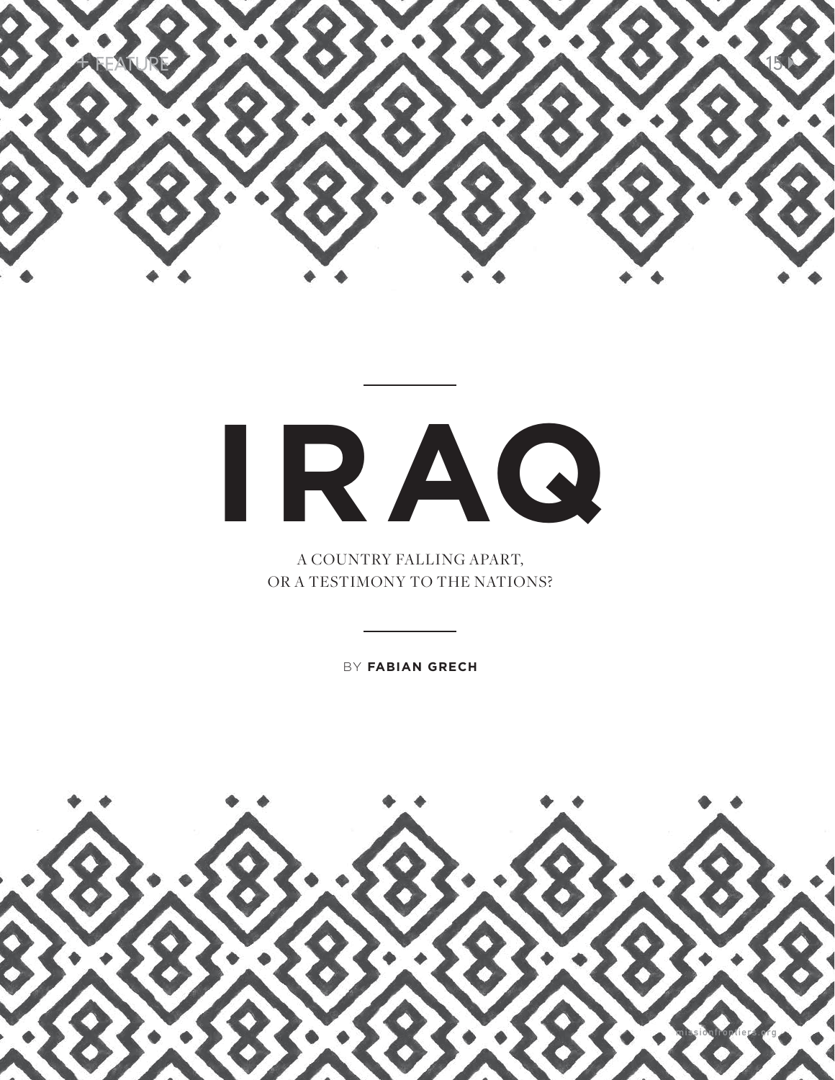

## **IRAQ**

A COUNTRY FALLING APART, OR A TESTIMONY TO THE NATIONS?

BY **FABIAN GRECH**

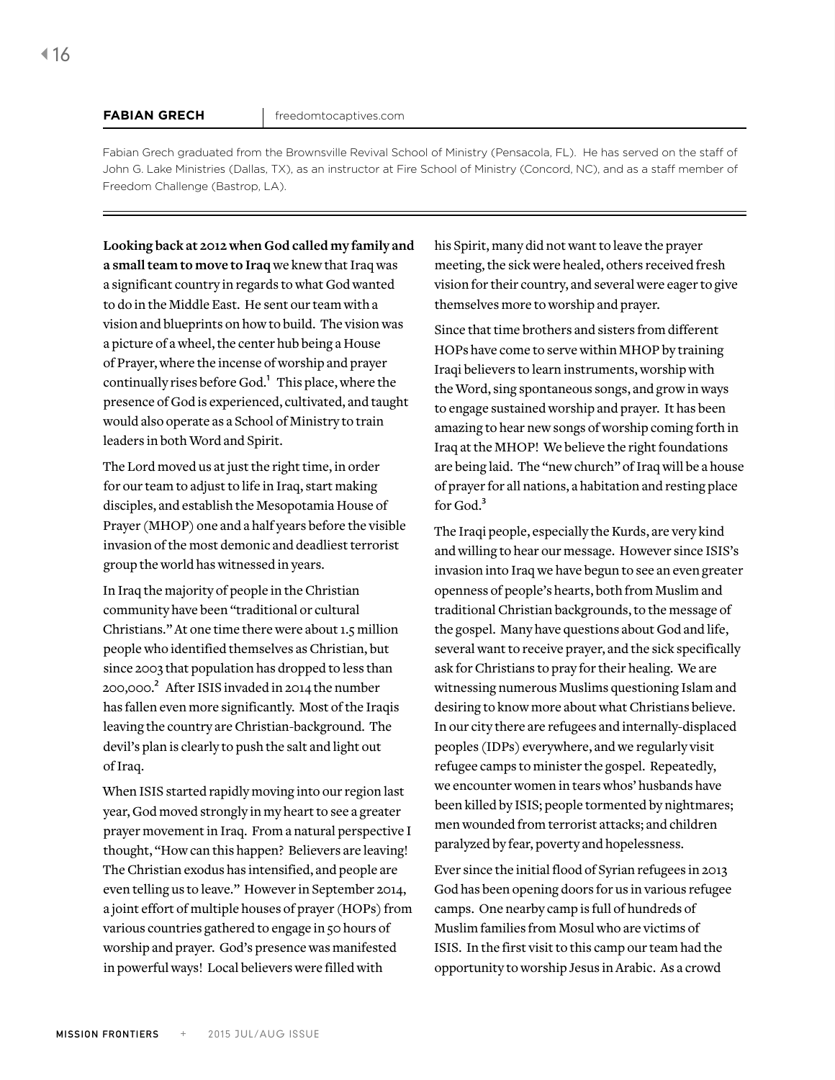Fabian Grech graduated from the Brownsville Revival School of Ministry (Pensacola, FL). He has served on the staff of John G. Lake Ministries (Dallas, TX), as an instructor at Fire School of Ministry (Concord, NC), and as a staff member of Freedom Challenge (Bastrop, LA).

**Looking back at 2012 when God called my family and a small team to move to Iraq** we knew that Iraq was a significant country in regards to what God wanted to do in the Middle East. He sent our team with a vision and blueprints on how to build. The vision was a picture of a wheel, the center hub being a House of Prayer, where the incense of worship and prayer continually rises before God.<sup>1</sup> This place, where the presence of God is experienced, cultivated, and taught would also operate as a School of Ministry to train leaders in both Word and Spirit.

The Lord moved us at just the right time, in order for our team to adjust to life in Iraq, start making disciples, and establish the Mesopotamia House of Prayer (MHOP) one and a half years before the visible invasion of the most demonic and deadliest terrorist group the world has witnessed in years.

In Iraq the majority of people in the Christian community have been "traditional or cultural Christians." At one time there were about 1.5 million people who identified themselves as Christian, but since 2003 that population has dropped to less than 200,000.2 After ISIS invaded in 2014 the number has fallen even more significantly. Most of the Iraqis leaving the country are Christian-background. The devil's plan is clearly to push the salt and light out of Iraq.

When ISIS started rapidly moving into our region last year, God moved strongly in my heart to see a greater prayer movement in Iraq. From a natural perspective I thought, "How can this happen? Believers are leaving! The Christian exodus has intensified, and people are even telling us to leave." However in September 2014, a joint effort of multiple houses of prayer (HOPs) from various countries gathered to engage in 50 hours of worship and prayer. God's presence was manifested in powerful ways! Local believers were filled with

his Spirit, many did not want to leave the prayer meeting, the sick were healed, others received fresh vision for their country, and several were eager to give themselves more to worship and prayer.

Since that time brothers and sisters from different HOPs have come to serve within MHOP by training Iraqi believers to learn instruments, worship with the Word, sing spontaneous songs, and grow in ways to engage sustained worship and prayer. It has been amazing to hear new songs of worship coming forth in Iraq at the MHOP! We believe the right foundations are being laid. The "new church" of Iraq will be a house of prayer for all nations, a habitation and resting place for God.<sup>3</sup>

The Iraqi people, especially the Kurds, are very kind and willing to hear our message. However since ISIS's invasion into Iraq we have begun to see an even greater openness of people's hearts, both from Muslim and traditional Christian backgrounds, to the message of the gospel. Many have questions about God and life, several want to receive prayer, and the sick specifically ask for Christians to pray for their healing. We are witnessing numerous Muslims questioning Islam and desiring to know more about what Christians believe. In our city there are refugees and internally-displaced peoples (IDPs) everywhere, and we regularly visit refugee camps to minister the gospel. Repeatedly, we encounter women in tears whos' husbands have been killed by ISIS; people tormented by nightmares; men wounded from terrorist attacks; and children paralyzed by fear, poverty and hopelessness.

Ever since the initial flood of Syrian refugees in 2013 God has been opening doors for us in various refugee camps. One nearby camp is full of hundreds of Muslim families from Mosul who are victims of ISIS. In the first visit to this camp our team had the opportunity to worship Jesus in Arabic. As a crowd